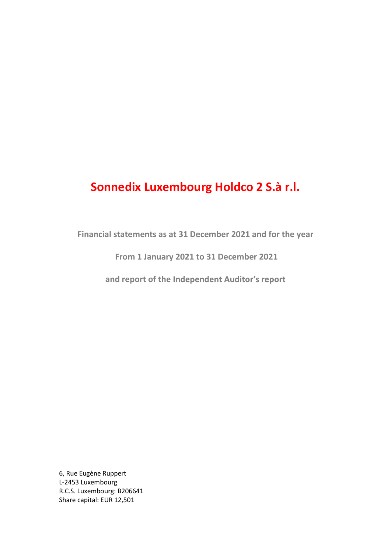Financial statements as at 31 December 2021 and for the year

From 1 January 2021 to 31 December 2021

and report of the Independent Auditor's report

6, Rue Eugène Ruppert L-2453 Luxembourg R.C.S. Luxembourg: B206641 Share capital: EUR 12,501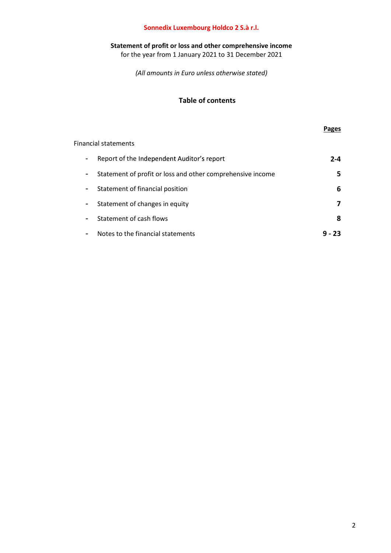#### Statement of profit or loss and other comprehensive income

for the year from 1 January 2021 to 31 December 2021

(All amounts in Euro unless otherwise stated)

## Table of contents

Financial statements

#### Pages

| Report of the Independent Auditor's report                 | 2-4 |
|------------------------------------------------------------|-----|
| Statement of profit or loss and other comprehensive income |     |
| Statement of financial position                            | 6   |
| Statement of changes in equity                             |     |
| Statement of cash flows                                    | 8   |
| Notes to the financial statements                          |     |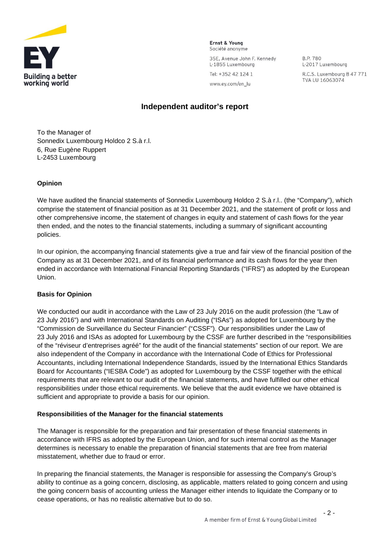

Ernst & Young Société anonyme

35E, Avenue John F. Kennedy L-1855 Luxembourg

B.P. 780 L-2017 Luxembourg R.C.S. Luxembourg B 47 771 TVA LU 16063074

Tel: +352 42 124 1 www.ey.com/en\_lu

## **Independent auditor's report**

To the Manager of Sonnedix Luxembourg Holdco 2 S.à r.l. 6, Rue Eugène Ruppert L-2453 Luxembourg

#### **Opinion**

We have audited the financial statements of Sonnedix Luxembourg Holdco 2 S.à r.l.. (the "Company"), which comprise the statement of financial position as at 31 December 2021, and the statement of profit or loss and other comprehensive income, the statement of changes in equity and statement of cash flows for the year then ended, and the notes to the financial statements, including a summary of significant accounting policies.

In our opinion, the accompanying financial statements give a true and fair view of the financial position of the Company as at 31 December 2021, and of its financial performance and its cash flows for the year then ended in accordance with International Financial Reporting Standards ("IFRS") as adopted by the European Union.

#### **Basis for Opinion**

We conducted our audit in accordance with the Law of 23 July 2016 on the audit profession (the "Law of 23 July 2016") and with International Standards on Auditing ("ISAs") as adopted for Luxembourg by the "Commission de Surveillance du Secteur Financier" ("CSSF"). Our responsibilities under the Law of 23 July 2016 and ISAs as adopted for Luxembourg by the CSSF are further described in the "responsibilities of the "réviseur d'entreprises agréé" for the audit of the financial statements" section of our report. We are also independent of the Company in accordance with the International Code of Ethics for Professional Accountants, including International Independence Standards, issued by the International Ethics Standards Board for Accountants ("IESBA Code") as adopted for Luxembourg by the CSSF together with the ethical requirements that are relevant to our audit of the financial statements, and have fulfilled our other ethical responsibilities under those ethical requirements. We believe that the audit evidence we have obtained is sufficient and appropriate to provide a basis for our opinion.

#### **Responsibilities of the Manager for the financial statements**

The Manager is responsible for the preparation and fair presentation of these financial statements in accordance with IFRS as adopted by the European Union, and for such internal control as the Manager determines is necessary to enable the preparation of financial statements that are free from material misstatement, whether due to fraud or error.

In preparing the financial statements, the Manager is responsible for assessing the Company's Group's ability to continue as a going concern, disclosing, as applicable, matters related to going concern and using the going concern basis of accounting unless the Manager either intends to liquidate the Company or to cease operations, or has no realistic alternative but to do so.

 $-2-$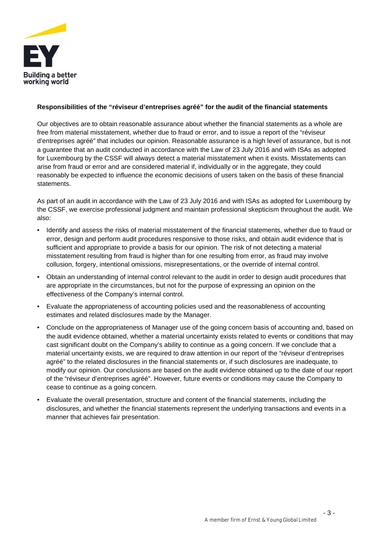

#### **Responsibilities of the "réviseur d'entreprises agréé" for the audit of the financial statements**

Our objectives are to obtain reasonable assurance about whether the financial statements as a whole are free from material misstatement, whether due to fraud or error, and to issue a report of the "réviseur d'entreprises agréé" that includes our opinion. Reasonable assurance is a high level of assurance, but is not a guarantee that an audit conducted in accordance with the Law of 23 July 2016 and with ISAs as adopted for Luxembourg by the CSSF will always detect a material misstatement when it exists. Misstatements can arise from fraud or error and are considered material if, individually or in the aggregate, they could reasonably be expected to influence the economic decisions of users taken on the basis of these financial statements.

As part of an audit in accordance with the Law of 23 July 2016 and with ISAs as adopted for Luxembourg by the CSSF, we exercise professional judgment and maintain professional skepticism throughout the audit. We also:

- Identify and assess the risks of material misstatement of the financial statements, whether due to fraud or error, design and perform audit procedures responsive to those risks, and obtain audit evidence that is sufficient and appropriate to provide a basis for our opinion. The risk of not detecting a material misstatement resulting from fraud is higher than for one resulting from error, as fraud may involve collusion, forgery, intentional omissions, misrepresentations, or the override of internal control.
- Obtain an understanding of internal control relevant to the audit in order to design audit procedures that are appropriate in the circumstances, but not for the purpose of expressing an opinion on the effectiveness of the Company's internal control.
- Evaluate the appropriateness of accounting policies used and the reasonableness of accounting estimates and related disclosures made by the Manager.
- Conclude on the appropriateness of Manager use of the going concern basis of accounting and, based on the audit evidence obtained, whether a material uncertainty exists related to events or conditions that may cast significant doubt on the Company's ability to continue as a going concern. If we conclude that a material uncertainty exists, we are required to draw attention in our report of the "réviseur d'entreprises agréé" to the related disclosures in the financial statements or, if such disclosures are inadequate, to modify our opinion. Our conclusions are based on the audit evidence obtained up to the date of our report of the "réviseur d'entreprises agréé". However, future events or conditions may cause the Company to cease to continue as a going concern.
- Evaluate the overall presentation, structure and content of the financial statements, including the disclosures, and whether the financial statements represent the underlying transactions and events in a manner that achieves fair presentation.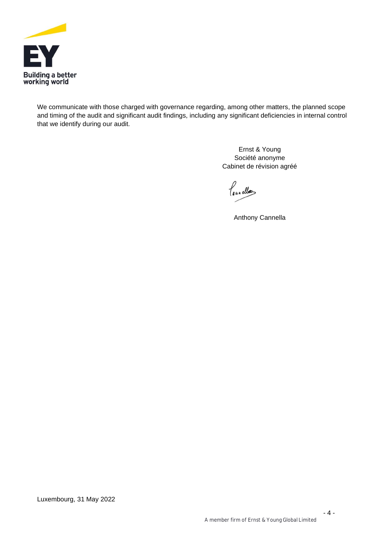

We communicate with those charged with governance regarding, among other matters, the planned scope and timing of the audit and significant audit findings, including any significant deficiencies in internal control that we identify during our audit.

> Ernst & Young Société anonyme Cabinet de révision agréé

leunellos

Anthony Cannella

- 4 -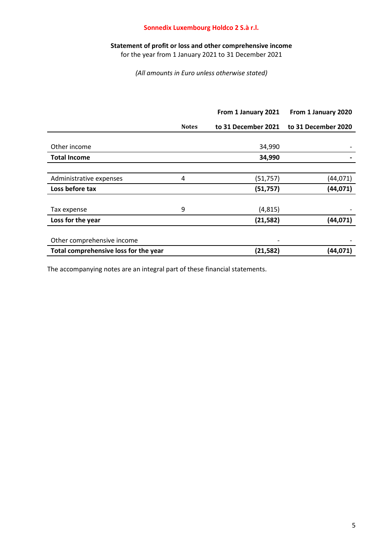#### Statement of profit or loss and other comprehensive income

for the year from 1 January 2021 to 31 December 2021

(All amounts in Euro unless otherwise stated)

|                                       |              | From 1 January 2021 | From 1 January 2020 |
|---------------------------------------|--------------|---------------------|---------------------|
|                                       | <b>Notes</b> | to 31 December 2021 | to 31 December 2020 |
|                                       |              |                     |                     |
| Other income                          |              | 34,990              |                     |
| <b>Total Income</b>                   |              | 34,990              |                     |
|                                       |              |                     |                     |
| Administrative expenses               | 4            | (51, 757)           | (44, 071)           |
| Loss before tax                       |              | (51, 757)           | (44, 071)           |
|                                       |              |                     |                     |
| Tax expense                           | 9            | (4, 815)            |                     |
| Loss for the year                     |              | (21, 582)           | (44, 071)           |
|                                       |              |                     |                     |
| Other comprehensive income            |              |                     |                     |
| Total comprehensive loss for the year |              | (21, 582)           | (44, 071)           |
|                                       |              |                     |                     |

The accompanying notes are an integral part of these financial statements.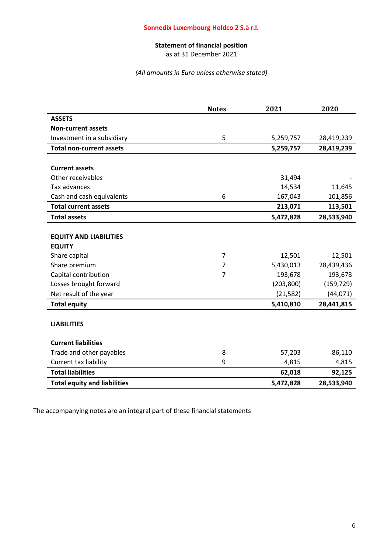## Statement of financial position

as at 31 December 2021

#### (All amounts in Euro unless otherwise stated)

|                                     | <b>Notes</b>   | 2021       | 2020       |
|-------------------------------------|----------------|------------|------------|
| <b>ASSETS</b>                       |                |            |            |
| <b>Non-current assets</b>           |                |            |            |
| Investment in a subsidiary          | 5              | 5,259,757  | 28,419,239 |
| <b>Total non-current assets</b>     |                | 5,259,757  | 28,419,239 |
|                                     |                |            |            |
| <b>Current assets</b>               |                |            |            |
| Other receivables                   |                | 31,494     |            |
| Tax advances                        |                | 14,534     | 11,645     |
| Cash and cash equivalents           | 6              | 167,043    | 101,856    |
| <b>Total current assets</b>         |                | 213,071    | 113,501    |
| <b>Total assets</b>                 |                | 5,472,828  | 28,533,940 |
|                                     |                |            |            |
| <b>EQUITY AND LIABILITIES</b>       |                |            |            |
| <b>EQUITY</b>                       |                |            |            |
| Share capital                       | $\overline{7}$ | 12,501     | 12,501     |
| Share premium                       | 7              | 5,430,013  | 28,439,436 |
| Capital contribution                | $\overline{7}$ | 193,678    | 193,678    |
| Losses brought forward              |                | (203, 800) | (159, 729) |
| Net result of the year              |                | (21, 582)  | (44,071)   |
| <b>Total equity</b>                 |                | 5,410,810  | 28,441,815 |
|                                     |                |            |            |
| <b>LIABILITIES</b>                  |                |            |            |
| <b>Current liabilities</b>          |                |            |            |
| Trade and other payables            | 8              | 57,203     | 86,110     |
| Current tax liability               | 9              | 4,815      | 4,815      |
| <b>Total liabilities</b>            |                | 62,018     | 92,125     |
| <b>Total equity and liabilities</b> |                | 5,472,828  | 28,533,940 |

The accompanying notes are an integral part of these financial statements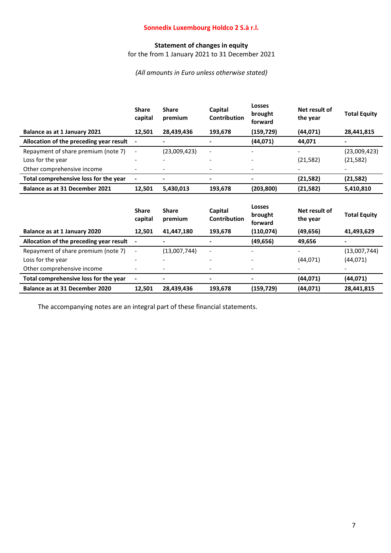## Statement of changes in equity

for the from 1 January 2021 to 31 December 2021

(All amounts in Euro unless otherwise stated)

|                                         | <b>Share</b><br>capital  | <b>Share</b><br>premium | Capital<br><b>Contribution</b> | <b>Losses</b><br>brought<br>forward | Net result of<br>the year | <b>Total Equity</b> |
|-----------------------------------------|--------------------------|-------------------------|--------------------------------|-------------------------------------|---------------------------|---------------------|
| Balance as at 1 January 2021            | 12,501                   | 28,439,436              | 193,678                        | (159, 729)                          | (44,071)                  | 28,441,815          |
| Allocation of the preceding year result | $\overline{\phantom{a}}$ |                         |                                | (44, 071)                           | 44,071                    |                     |
| Repayment of share premium (note 7)     | $\overline{\phantom{a}}$ | (23,009,423)            |                                |                                     |                           | (23,009,423)        |
| Loss for the year                       |                          |                         |                                |                                     | (21, 582)                 | (21, 582)           |
| Other comprehensive income              |                          |                         | $\overline{a}$                 |                                     |                           |                     |
| Total comprehensive loss for the year   | $\overline{a}$           |                         | $\blacksquare$                 |                                     | (21, 582)                 | (21, 582)           |
| Balance as at 31 December 2021          | 12,501                   | 5,430,013               | 193,678                        | (203, 800)                          | (21, 582)                 | 5,410,810           |
|                                         | <b>Share</b><br>capital  | <b>Share</b><br>premium | Capital<br>Contribution        | <b>Losses</b><br>brought<br>forward | Net result of<br>the year | <b>Total Equity</b> |
| Balance as at 1 January 2020            |                          |                         |                                |                                     |                           |                     |
|                                         | 12,501                   | 41,447,180              | 193,678                        | (110, 074)                          | (49, 656)                 | 41,493,629          |
| Allocation of the preceding year result | $\overline{\phantom{a}}$ |                         | $\blacksquare$                 | (49, 656)                           | 49,656                    | -                   |
| Repayment of share premium (note 7)     | $\overline{a}$           | (13,007,744)            |                                |                                     |                           | (13,007,744)        |
| Loss for the year                       |                          |                         |                                |                                     | (44,071)                  | (44,071)            |
| Other comprehensive income              |                          |                         |                                |                                     |                           |                     |
| Total comprehensive loss for the year   |                          |                         |                                |                                     | (44,071)                  | (44,071)            |

The accompanying notes are an integral part of these financial statements.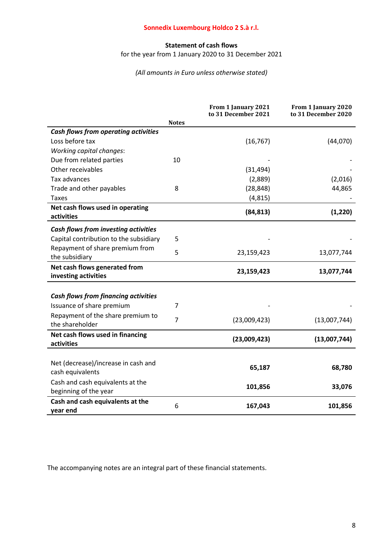## Statement of cash flows

for the year from 1 January 2020 to 31 December 2021

#### (All amounts in Euro unless otherwise stated)

|                                                           |                | From 1 January 2021<br>to 31 December 2021 | From 1 January 2020<br>to 31 December 2020 |
|-----------------------------------------------------------|----------------|--------------------------------------------|--------------------------------------------|
|                                                           | <b>Notes</b>   |                                            |                                            |
| Cash flows from operating activities                      |                |                                            |                                            |
| Loss before tax                                           |                | (16, 767)                                  | (44,070)                                   |
| <b>Working capital changes:</b>                           |                |                                            |                                            |
| Due from related parties                                  | 10             |                                            |                                            |
| Other receivables                                         |                | (31, 494)                                  |                                            |
| Tax advances                                              |                | (2,889)                                    | (2,016)                                    |
| Trade and other payables                                  | 8              | (28, 848)                                  | 44,865                                     |
| <b>Taxes</b>                                              |                | (4, 815)                                   |                                            |
| Net cash flows used in operating<br>activities            |                | (84, 813)                                  | (1, 220)                                   |
| Cash flows from investing activities                      |                |                                            |                                            |
| Capital contribution to the subsidiary                    | 5              |                                            |                                            |
| Repayment of share premium from                           | 5              |                                            |                                            |
| the subsidiary                                            |                | 23,159,423                                 | 13,077,744                                 |
| Net cash flows generated from<br>investing activities     |                | 23,159,423                                 | 13,077,744                                 |
|                                                           |                |                                            |                                            |
| <b>Cash flows from financing activities</b>               |                |                                            |                                            |
| Issuance of share premium                                 | 7              |                                            |                                            |
| Repayment of the share premium to                         | $\overline{7}$ | (23,009,423)                               | (13,007,744)                               |
| the shareholder                                           |                |                                            |                                            |
| Net cash flows used in financing                          |                | (23,009,423)                               | (13,007,744)                               |
| activities                                                |                |                                            |                                            |
|                                                           |                |                                            |                                            |
| Net (decrease)/increase in cash and                       |                | 65,187                                     | 68,780                                     |
| cash equivalents                                          |                |                                            |                                            |
| Cash and cash equivalents at the<br>beginning of the year |                | 101,856                                    | 33,076                                     |
| Cash and cash equivalents at the<br>year end              | 6              | 167,043                                    | 101,856                                    |

The accompanying notes are an integral part of these financial statements.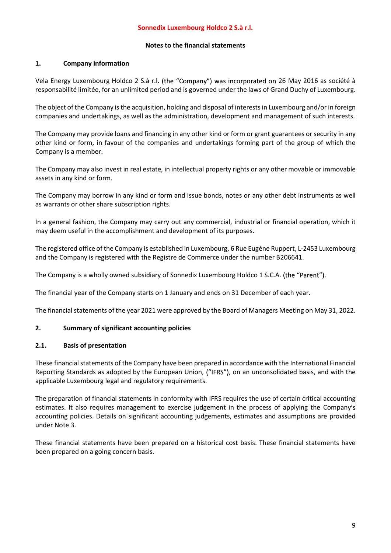### 1. Company information

Vela Energy Luxembourg Holdco 2 S.à r.l. (the "Company") was incorporated on 26 May 2016 as société à responsabilité limitée, for an unlimited period and is governed under the laws of Grand Duchy of Luxembourg.

The object of the Company is the acquisition, holding and disposal of interests in Luxembourg and/or in foreign companies and undertakings, as well as the administration, development and management of such interests.

The Company may provide loans and financing in any other kind or form or grant guarantees or security in any other kind or form, in favour of the companies and undertakings forming part of the group of which the Company is a member.

The Company may also invest in real estate, in intellectual property rights or any other movable or immovable assets in any kind or form.

The Company may borrow in any kind or form and issue bonds, notes or any other debt instruments as well as warrants or other share subscription rights.

In a general fashion, the Company may carry out any commercial, industrial or financial operation, which it may deem useful in the accomplishment and development of its purposes.

The registered office of the Company is established in Luxembourg, 6 Rue Eugène Ruppert, L-2453 Luxembourg and the Company is registered with the Registre de Commerce under the number B206641.

The Company is a wholly owned subsidiary of Sonnedix Luxembourg Holdco 1 S.C.A. (the "Parent").

The financial year of the Company starts on 1 January and ends on 31 December of each year.

The financial statements of the year 2021 were approved by the Board of Managers Meeting on May 31, 2022.

### 2. Summary of significant accounting policies

### 2.1. Basis of presentation

These financial statements of the Company have been prepared in accordance with the International Financial Reporting Standards as adopted by the European Union, ("IFRS"), on an unconsolidated basis, and with the applicable Luxembourg legal and regulatory requirements.

The preparation of financial statements in conformity with IFRS requires the use of certain critical accounting estimates. It also requires management to exercise judgement in the process of applying the Company's accounting policies. Details on significant accounting judgements, estimates and assumptions are provided under Note 3.

These financial statements have been prepared on a historical cost basis. These financial statements have been prepared on a going concern basis.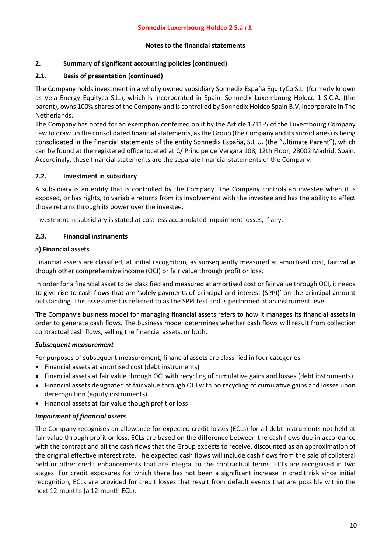#### 2. Summary of significant accounting policies (continued)

#### 2.1. Basis of presentation (continued)

The Company holds investment in a wholly owned subsidiary Sonnedix España EquityCo S.L. (formerly known as Vela Energy Equityco S.L.), which is incorporated in Spain. Sonnedix Luxembourg Holdco 1 S.C.A. (the parent), owns 100% shares of the Company and is controlled by Sonnedix Holdco Spain B.V, incorporate in The Netherlands.

The Company has opted for an exemption conferred on it by the Article 1711-5 of the Luxembourg Company Law to draw up the consolidated financial statements, as the Group (the Company and its subsidiaries) is being consolidated in the financial statements of the entity Sonnedix España, S.L.U. (the "Ultimate Parent"), which can be found at the registered office located at C/ Principe de Vergara 108, 12th Floor, 28002 Madrid, Spain. Accordingly, these financial statements are the separate financial statements of the Company.

#### 2.2. Investment in subsidiary

A subsidiary is an entity that is controlled by the Company. The Company controls an investee when it is exposed, or has rights, to variable returns from its involvement with the investee and has the ability to affect those returns through its power over the investee.

Investment in subsidiary is stated at cost less accumulated impairment losses, if any.

#### 2.3. Financial instruments

#### a) Financial assets

Financial assets are classified, at initial recognition, as subsequently measured at amortised cost, fair value though other comprehensive income (OCI) or fair value through profit or loss.

In order for a financial asset to be classified and measured at amortised cost or fair value through OCI, it needs to give rise to cash flows that are 'solely payments of principal and interest (SPPI)' on the principal amount outstanding. This assessment is referred to as the SPPI test and is performed at an instrument level.

The Company's business model for managing financial assets refers to how it manages its financial assets in order to generate cash flows. The business model determines whether cash flows will result from collection contractual cash flows, selling the financial assets, or both.

#### Subsequent measurement

For purposes of subsequent measurement, financial assets are classified in four categories:

- Financial assets at amortised cost (debt instruments)
- Financial assets at fair value through OCI with recycling of cumulative gains and losses (debt instruments)
- Financial assets designated at fair value through OCI with no recycling of cumulative gains and losses upon derecognition (equity instruments)
- Financial assets at fair value though profit or loss

#### Impairment of financial assets

The Company recognises an allowance for expected credit losses (ECLs) for all debt instruments not held at fair value through profit or loss. ECLs are based on the difference between the cash flows due in accordance with the contract and all the cash flows that the Group expects to receive, discounted as an approximation of the original effective interest rate. The expected cash flows will include cash flows from the sale of collateral held or other credit enhancements that are integral to the contractual terms. ECLs are recognised in two stages. For credit exposures for which there has not been a significant increase in credit risk since initial recognition, ECLs are provided for credit losses that result from default events that are possible within the next 12-months (a 12-month ECL).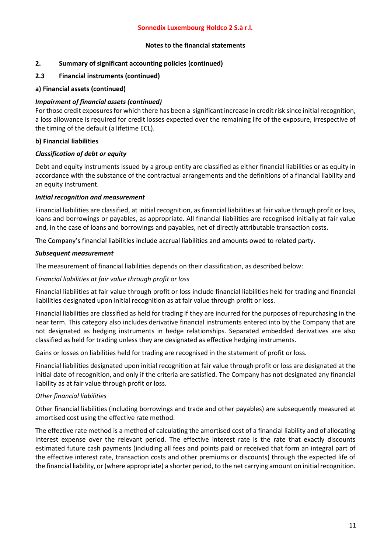#### 2. Summary of significant accounting policies (continued)

#### 2.3 Financial instruments (continued)

#### a) Financial assets (continued)

#### Impairment of financial assets (continued)

For those credit exposures for which there has been a significant increase in credit risk since initial recognition, a loss allowance is required for credit losses expected over the remaining life of the exposure, irrespective of the timing of the default (a lifetime ECL).

#### b) Financial liabilities

#### Classification of debt or equity

Debt and equity instruments issued by a group entity are classified as either financial liabilities or as equity in accordance with the substance of the contractual arrangements and the definitions of a financial liability and an equity instrument.

#### Initial recognition and measurement

Financial liabilities are classified, at initial recognition, as financial liabilities at fair value through profit or loss, loans and borrowings or payables, as appropriate. All financial liabilities are recognised initially at fair value and, in the case of loans and borrowings and payables, net of directly attributable transaction costs.

The Company's financial liabilities include accrual liabilities and amounts owed to related party.

#### Subsequent measurement

The measurement of financial liabilities depends on their classification, as described below:

#### Financial liabilities at fair value through profit or loss

Financial liabilities at fair value through profit or loss include financial liabilities held for trading and financial liabilities designated upon initial recognition as at fair value through profit or loss.

Financial liabilities are classified as held for trading if they are incurred for the purposes of repurchasing in the near term. This category also includes derivative financial instruments entered into by the Company that are not designated as hedging instruments in hedge relationships. Separated embedded derivatives are also classified as held for trading unless they are designated as effective hedging instruments.

Gains or losses on liabilities held for trading are recognised in the statement of profit or loss.

Financial liabilities designated upon initial recognition at fair value through profit or loss are designated at the initial date of recognition, and only if the criteria are satisfied. The Company has not designated any financial liability as at fair value through profit or loss.

### Other financial liabilities

Other financial liabilities (including borrowings and trade and other payables) are subsequently measured at amortised cost using the effective rate method.

The effective rate method is a method of calculating the amortised cost of a financial liability and of allocating interest expense over the relevant period. The effective interest rate is the rate that exactly discounts estimated future cash payments (including all fees and points paid or received that form an integral part of the effective interest rate, transaction costs and other premiums or discounts) through the expected life of the financial liability, or (where appropriate) a shorter period, to the net carrying amount on initial recognition.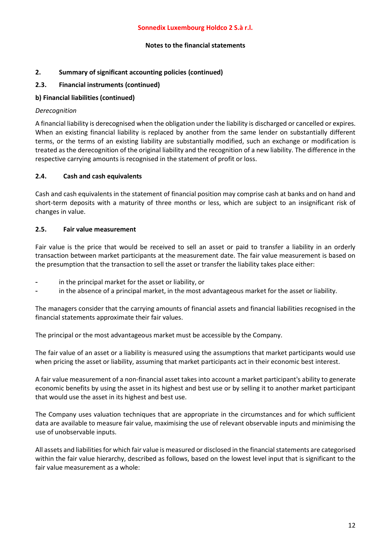#### 2. Summary of significant accounting policies (continued)

#### 2.3. Financial instruments (continued)

#### b) Financial liabilities (continued)

#### Derecognition

A financial liability is derecognised when the obligation under the liability is discharged or cancelled or expires. When an existing financial liability is replaced by another from the same lender on substantially different terms, or the terms of an existing liability are substantially modified, such an exchange or modification is treated as the derecognition of the original liability and the recognition of a new liability. The difference in the respective carrying amounts is recognised in the statement of profit or loss.

#### 2.4. Cash and cash equivalents

Cash and cash equivalents in the statement of financial position may comprise cash at banks and on hand and short-term deposits with a maturity of three months or less, which are subject to an insignificant risk of changes in value.

#### 2.5. Fair value measurement

Fair value is the price that would be received to sell an asset or paid to transfer a liability in an orderly transaction between market participants at the measurement date. The fair value measurement is based on the presumption that the transaction to sell the asset or transfer the liability takes place either:

- in the principal market for the asset or liability, or
- in the absence of a principal market, in the most advantageous market for the asset or liability.

The managers consider that the carrying amounts of financial assets and financial liabilities recognised in the financial statements approximate their fair values.

The principal or the most advantageous market must be accessible by the Company.

The fair value of an asset or a liability is measured using the assumptions that market participants would use when pricing the asset or liability, assuming that market participants act in their economic best interest.

A fair value measurement of a non-financial asset takes into account a market participant's ability to generate economic benefits by using the asset in its highest and best use or by selling it to another market participant that would use the asset in its highest and best use.

The Company uses valuation techniques that are appropriate in the circumstances and for which sufficient data are available to measure fair value, maximising the use of relevant observable inputs and minimising the use of unobservable inputs.

All assets and liabilities for which fair value is measured or disclosed in the financial statements are categorised within the fair value hierarchy, described as follows, based on the lowest level input that is significant to the fair value measurement as a whole: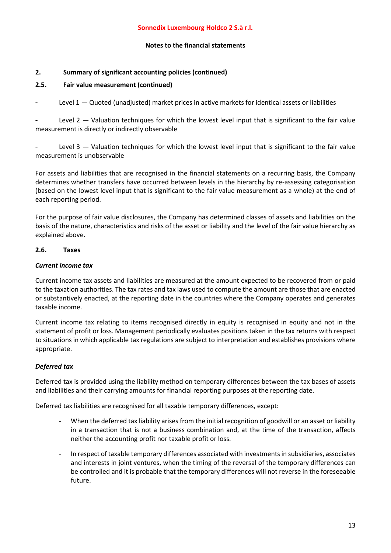#### Notes to the financial statements

#### 2. Summary of significant accounting policies (continued)

#### 2.5. Fair value measurement (continued)

Level  $1 -$  Quoted (unadjusted) market prices in active markets for identical assets or liabilities

Level  $2$  – Valuation techniques for which the lowest level input that is significant to the fair value measurement is directly or indirectly observable

Level  $3$   $-$  Valuation techniques for which the lowest level input that is significant to the fair value measurement is unobservable

For assets and liabilities that are recognised in the financial statements on a recurring basis, the Company determines whether transfers have occurred between levels in the hierarchy by re-assessing categorisation (based on the lowest level input that is significant to the fair value measurement as a whole) at the end of each reporting period.

For the purpose of fair value disclosures, the Company has determined classes of assets and liabilities on the basis of the nature, characteristics and risks of the asset or liability and the level of the fair value hierarchy as explained above.

#### 2.6. Taxes

#### Current income tax

Current income tax assets and liabilities are measured at the amount expected to be recovered from or paid to the taxation authorities. The tax rates and tax laws used to compute the amount are those that are enacted or substantively enacted, at the reporting date in the countries where the Company operates and generates taxable income.

Current income tax relating to items recognised directly in equity is recognised in equity and not in the statement of profit or loss. Management periodically evaluates positions taken in the tax returns with respect to situations in which applicable tax regulations are subject to interpretation and establishes provisions where appropriate.

### Deferred tax

Deferred tax is provided using the liability method on temporary differences between the tax bases of assets and liabilities and their carrying amounts for financial reporting purposes at the reporting date.

Deferred tax liabilities are recognised for all taxable temporary differences, except:

- When the deferred tax liability arises from the initial recognition of goodwill or an asset or liability in a transaction that is not a business combination and, at the time of the transaction, affects neither the accounting profit nor taxable profit or loss.
- In respect of taxable temporary differences associated with investments in subsidiaries, associates and interests in joint ventures, when the timing of the reversal of the temporary differences can be controlled and it is probable that the temporary differences will not reverse in the foreseeable future.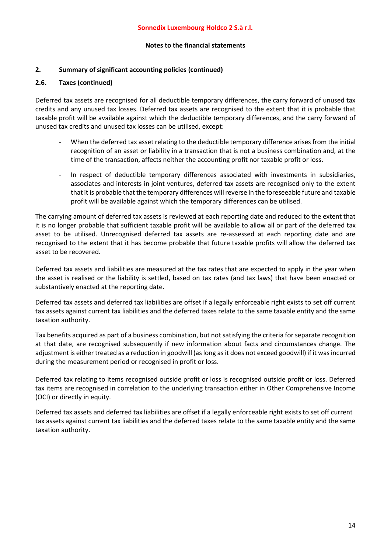#### 2. Summary of significant accounting policies (continued)

#### 2.6. Taxes (continued)

Deferred tax assets are recognised for all deductible temporary differences, the carry forward of unused tax credits and any unused tax losses. Deferred tax assets are recognised to the extent that it is probable that taxable profit will be available against which the deductible temporary differences, and the carry forward of unused tax credits and unused tax losses can be utilised, except:

- When the deferred tax asset relating to the deductible temporary difference arises from the initial recognition of an asset or liability in a transaction that is not a business combination and, at the time of the transaction, affects neither the accounting profit nor taxable profit or loss.
- In respect of deductible temporary differences associated with investments in subsidiaries, associates and interests in joint ventures, deferred tax assets are recognised only to the extent that it is probable that the temporary differences will reverse in the foreseeable future and taxable profit will be available against which the temporary differences can be utilised.

The carrying amount of deferred tax assets is reviewed at each reporting date and reduced to the extent that it is no longer probable that sufficient taxable profit will be available to allow all or part of the deferred tax asset to be utilised. Unrecognised deferred tax assets are re-assessed at each reporting date and are recognised to the extent that it has become probable that future taxable profits will allow the deferred tax asset to be recovered.

Deferred tax assets and liabilities are measured at the tax rates that are expected to apply in the year when the asset is realised or the liability is settled, based on tax rates (and tax laws) that have been enacted or substantively enacted at the reporting date.

Deferred tax assets and deferred tax liabilities are offset if a legally enforceable right exists to set off current tax assets against current tax liabilities and the deferred taxes relate to the same taxable entity and the same taxation authority.

Tax benefits acquired as part of a business combination, but not satisfying the criteria for separate recognition at that date, are recognised subsequently if new information about facts and circumstances change. The adjustment is either treated as a reduction in goodwill (as long as it does not exceed goodwill) if it was incurred during the measurement period or recognised in profit or loss.

Deferred tax relating to items recognised outside profit or loss is recognised outside profit or loss. Deferred tax items are recognised in correlation to the underlying transaction either in Other Comprehensive Income (OCI) or directly in equity.

Deferred tax assets and deferred tax liabilities are offset if a legally enforceable right exists to set off current tax assets against current tax liabilities and the deferred taxes relate to the same taxable entity and the same taxation authority.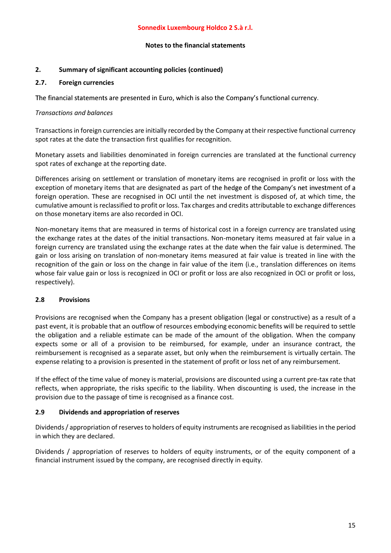### 2. Summary of significant accounting policies (continued)

#### 2.7. Foreign currencies

The financial statements are presented in Euro, which is also the Company's functional currency.

#### Transactions and balances

Transactions in foreign currencies are initially recorded by the Company at their respective functional currency spot rates at the date the transaction first qualifies for recognition.

Monetary assets and liabilities denominated in foreign currencies are translated at the functional currency spot rates of exchange at the reporting date.

Differences arising on settlement or translation of monetary items are recognised in profit or loss with the exception of monetary items that are designated as part of the hedge of the Company's net investment of a foreign operation. These are recognised in OCI until the net investment is disposed of, at which time, the cumulative amount is reclassified to profit or loss. Tax charges and credits attributable to exchange differences on those monetary items are also recorded in OCI.

Non-monetary items that are measured in terms of historical cost in a foreign currency are translated using the exchange rates at the dates of the initial transactions. Non-monetary items measured at fair value in a foreign currency are translated using the exchange rates at the date when the fair value is determined. The gain or loss arising on translation of non-monetary items measured at fair value is treated in line with the recognition of the gain or loss on the change in fair value of the item (i.e., translation differences on items whose fair value gain or loss is recognized in OCI or profit or loss are also recognized in OCI or profit or loss, respectively).

### 2.8 Provisions

Provisions are recognised when the Company has a present obligation (legal or constructive) as a result of a past event, it is probable that an outflow of resources embodying economic benefits will be required to settle the obligation and a reliable estimate can be made of the amount of the obligation. When the company expects some or all of a provision to be reimbursed, for example, under an insurance contract, the reimbursement is recognised as a separate asset, but only when the reimbursement is virtually certain. The expense relating to a provision is presented in the statement of profit or loss net of any reimbursement.

If the effect of the time value of money is material, provisions are discounted using a current pre-tax rate that reflects, when appropriate, the risks specific to the liability. When discounting is used, the increase in the provision due to the passage of time is recognised as a finance cost.

### 2.9 Dividends and appropriation of reserves

Dividends / appropriation of reserves to holders of equity instruments are recognised as liabilities in the period in which they are declared.

Dividends / appropriation of reserves to holders of equity instruments, or of the equity component of a financial instrument issued by the company, are recognised directly in equity.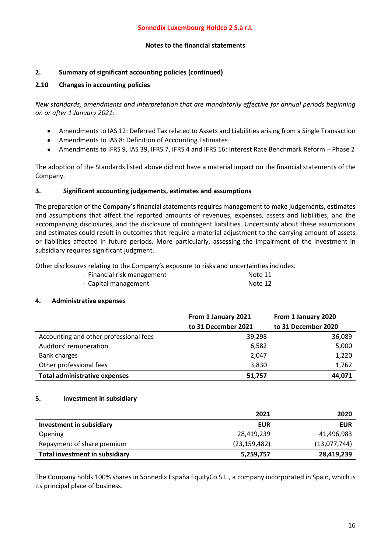### 2. Summary of significant accounting policies (continued)

#### 2.10 Changes in accounting policies

New standards, amendments and interpretation that are mandatorily effective for annual periods beginning on or after 1 January 2021:

- Amendments to IAS 12: Deferred Tax related to Assets and Liabilities arising from a Single Transaction
- Amendments to IAS 8: Definition of Accounting Estimates
- $\bullet$ Amendments to IFRS 9, IAS 39, IFRS 7, IFRS 4 and IFRS 16: Interest Rate Benchmark Reform - Phase 2

The adoption of the Standards listed above did not have a material impact on the financial statements of the Company.

#### 3. Significant accounting judgements, estimates and assumptions

The preparation of the Company's financial statements requires management to make judgements, estimates and assumptions that affect the reported amounts of revenues, expenses, assets and liabilities, and the accompanying disclosures, and the disclosure of contingent liabilities. Uncertainty about these assumptions and estimates could result in outcomes that require a material adjustment to the carrying amount of assets or liabilities affected in future periods. More particularly, assessing the impairment of the investment in subsidiary requires significant judgment.

Other disclosures relating to the Company's exposure to risks and uncertainties includes:

| - Financial risk management | Note 11 |
|-----------------------------|---------|
|-----------------------------|---------|

- Capital management Note 12

#### 4. Administrative expenses

|                                        | From 1 January 2021 | From 1 January 2020 |
|----------------------------------------|---------------------|---------------------|
|                                        | to 31 December 2021 | to 31 December 2020 |
| Accounting and other professional fees | 39,298              | 36,089              |
| Auditors' remuneration                 | 6,582               | 5,000               |
| <b>Bank charges</b>                    | 2,047               | 1,220               |
| Other professional fees                | 3,830               | 1,762               |
| <b>Total administrative expenses</b>   | 51,757              | 44,071              |

#### 5. Investment in subsidiary

|                                | 2021           | 2020         |
|--------------------------------|----------------|--------------|
| Investment in subsidiary       | <b>EUR</b>     | <b>EUR</b>   |
| Opening                        | 28,419,239     | 41,496,983   |
| Repayment of share premium     | (23, 159, 482) | (13,077,744) |
| Total investment in subsidiary | 5,259,757      | 28,419,239   |

The Company holds 100% shares in Sonnedix España EquityCo S.L., a company incorporated in Spain, which is its principal place of business.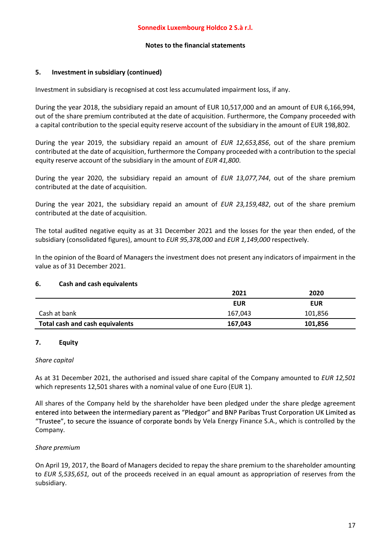#### 5. Investment in subsidiary (continued)

Investment in subsidiary is recognised at cost less accumulated impairment loss, if any.

During the year 2018, the subsidiary repaid an amount of EUR 10,517,000 and an amount of EUR 6,166,994, out of the share premium contributed at the date of acquisition. Furthermore, the Company proceeded with a capital contribution to the special equity reserve account of the subsidiary in the amount of EUR 198,802.

During the year 2019, the subsidiary repaid an amount of EUR 12,653,856, out of the share premium contributed at the date of acquisition, furthermore the Company proceeded with a contribution to the special equity reserve account of the subsidiary in the amount of EUR 41,800.

During the year 2020, the subsidiary repaid an amount of EUR 13,077,744, out of the share premium contributed at the date of acquisition.

During the year 2021, the subsidiary repaid an amount of EUR 23,159,482, out of the share premium contributed at the date of acquisition.

The total audited negative equity as at 31 December 2021 and the losses for the year then ended, of the subsidiary (consolidated figures), amount to EUR 95,378,000 and EUR 1,149,000 respectively.

In the opinion of the Board of Managers the investment does not present any indicators of impairment in the value as of 31 December 2021.

#### 6. Cash and cash equivalents

|                                 | 2021       | 2020       |
|---------------------------------|------------|------------|
|                                 | <b>EUR</b> | <b>EUR</b> |
| Cash at bank                    | 167,043    | 101,856    |
| Total cash and cash equivalents | 167,043    | 101,856    |

#### 7. Equity

#### Share capital

As at 31 December 2021, the authorised and issued share capital of the Company amounted to EUR 12,501 which represents 12,501 shares with a nominal value of one Euro (EUR 1).

All shares of the Company held by the shareholder have been pledged under the share pledge agreement entered into between the intermediary parent as "Pledgor" and BNP Paribas Trust Corporation UK Limited as "Trustee", to secure the issuance of corporate bonds by Vela Energy Finance S.A., which is controlled by the Company.

#### Share premium

On April 19, 2017, the Board of Managers decided to repay the share premium to the shareholder amounting to EUR 5,535,651, out of the proceeds received in an equal amount as appropriation of reserves from the subsidiary.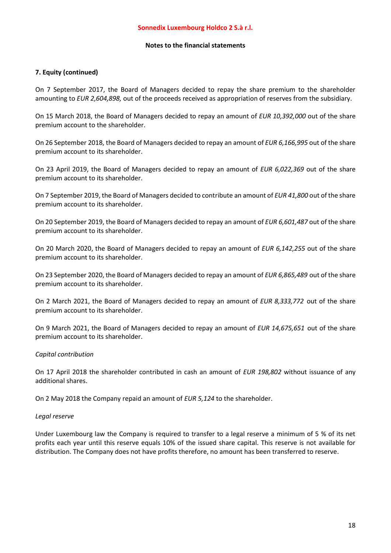#### Notes to the financial statements

#### 7. Equity (continued)

On 7 September 2017, the Board of Managers decided to repay the share premium to the shareholder amounting to EUR 2,604,898, out of the proceeds received as appropriation of reserves from the subsidiary.

On 15 March 2018, the Board of Managers decided to repay an amount of EUR 10,392,000 out of the share premium account to the shareholder.

On 26 September 2018, the Board of Managers decided to repay an amount of EUR 6,166,995 out of the share premium account to its shareholder.

On 23 April 2019, the Board of Managers decided to repay an amount of EUR 6,022,369 out of the share premium account to its shareholder.

On 7 September 2019, the Board of Managers decided to contribute an amount of EUR 41,800 out of the share premium account to its shareholder.

On 20 September 2019, the Board of Managers decided to repay an amount of EUR 6,601,487 out of the share premium account to its shareholder.

On 20 March 2020, the Board of Managers decided to repay an amount of EUR 6.142,255 out of the share premium account to its shareholder.

On 23 September 2020, the Board of Managers decided to repay an amount of EUR 6,865,489 out of the share premium account to its shareholder.

On 2 March 2021, the Board of Managers decided to repay an amount of EUR 8,333,772 out of the share premium account to its shareholder.

On 9 March 2021, the Board of Managers decided to repay an amount of EUR 14,675,651 out of the share premium account to its shareholder.

#### Capital contribution

On 17 April 2018 the shareholder contributed in cash an amount of EUR 198,802 without issuance of any additional shares.

On 2 May 2018 the Company repaid an amount of EUR 5,124 to the shareholder.

#### Legal reserve

Under Luxembourg law the Company is required to transfer to a legal reserve a minimum of 5 % of its net profits each year until this reserve equals 10% of the issued share capital. This reserve is not available for distribution. The Company does not have profits therefore, no amount has been transferred to reserve.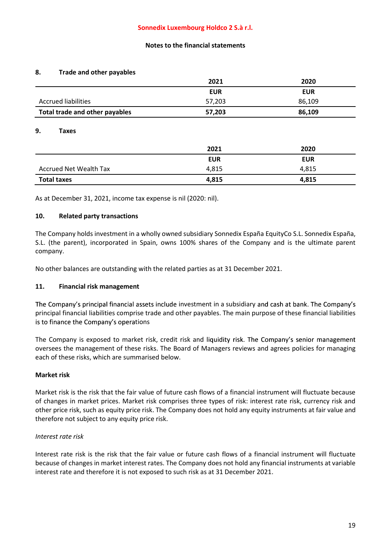#### 8. Trade and other payables

|                                | 2021       | 2020       |
|--------------------------------|------------|------------|
|                                | <b>EUR</b> | <b>EUR</b> |
| Accrued liabilities            | 57,203     | 86.109     |
| Total trade and other payables | 57,203     | 86,109     |

#### 9. Taxes

|                               | 2021       | 2020       |
|-------------------------------|------------|------------|
|                               | <b>EUR</b> | <b>EUR</b> |
| <b>Accrued Net Wealth Tax</b> | 4,815      | 4,815      |
| <b>Total taxes</b>            | 4,815      | 4,815      |

As at December 31, 2021, income tax expense is nil (2020: nil).

#### 10. Related party transactions

The Company holds investment in a wholly owned subsidiary Sonnedix España EquityCo S.L. Sonnedix España, S.L. (the parent), incorporated in Spain, owns 100% shares of the Company and is the ultimate parent company.

No other balances are outstanding with the related parties as at 31 December 2021.

#### 11. Financial risk management

The Company's principal financial assets include investment in a subsidiary and cash at bank. The Company's principal financial liabilities comprise trade and other payables. The main purpose of these financial liabilities is to finance the Company's operations

The Company is exposed to market risk, credit risk and liquidity risk. The Company's senior management oversees the management of these risks. The Board of Managers reviews and agrees policies for managing each of these risks, which are summarised below.

#### Market risk

Market risk is the risk that the fair value of future cash flows of a financial instrument will fluctuate because of changes in market prices. Market risk comprises three types of risk: interest rate risk, currency risk and other price risk, such as equity price risk. The Company does not hold any equity instruments at fair value and therefore not subject to any equity price risk.

#### Interest rate risk

Interest rate risk is the risk that the fair value or future cash flows of a financial instrument will fluctuate because of changes in market interest rates. The Company does not hold any financial instruments at variable interest rate and therefore it is not exposed to such risk as at 31 December 2021.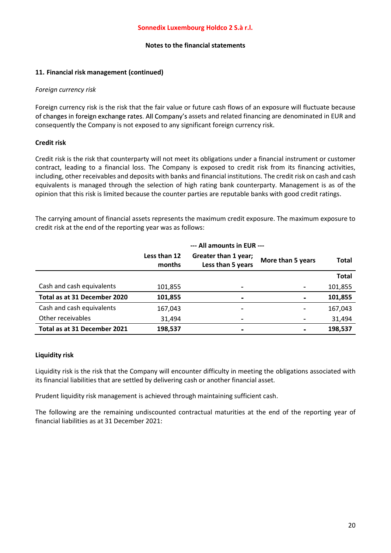#### 11. Financial risk management (continued)

#### Foreign currency risk

Foreign currency risk is the risk that the fair value or future cash flows of an exposure will fluctuate because of changes in foreign exchange rates. All Company's assets and related financing are denominated in EUR and consequently the Company is not exposed to any significant foreign currency risk.

#### Credit risk

Credit risk is the risk that counterparty will not meet its obligations under a financial instrument or customer contract, leading to a financial loss. The Company is exposed to credit risk from its financing activities, including, other receivables and deposits with banks and financial institutions. The credit risk on cash and cash equivalents is managed through the selection of high rating bank counterparty. Management is as of the opinion that this risk is limited because the counter parties are reputable banks with good credit ratings.

The carrying amount of financial assets represents the maximum credit exposure. The maximum exposure to credit risk at the end of the reporting year was as follows:

|                              | --- All amounts in EUR --- |                                           |                   |              |
|------------------------------|----------------------------|-------------------------------------------|-------------------|--------------|
|                              | Less than 12<br>months     | Greater than 1 year;<br>Less than 5 years | More than 5 years | <b>Total</b> |
|                              |                            |                                           |                   | <b>Total</b> |
| Cash and cash equivalents    | 101,855                    | ۰                                         |                   | 101,855      |
| Total as at 31 December 2020 | 101,855                    | $\blacksquare$                            |                   | 101,855      |
| Cash and cash equivalents    | 167,043                    | ۰                                         |                   | 167,043      |
| Other receivables            | 31,494                     | ٠                                         |                   | 31,494       |
| Total as at 31 December 2021 | 198,537                    | $\blacksquare$                            |                   | 198,537      |

#### Liquidity risk

Liquidity risk is the risk that the Company will encounter difficulty in meeting the obligations associated with its financial liabilities that are settled by delivering cash or another financial asset.

Prudent liquidity risk management is achieved through maintaining sufficient cash.

The following are the remaining undiscounted contractual maturities at the end of the reporting year of financial liabilities as at 31 December 2021: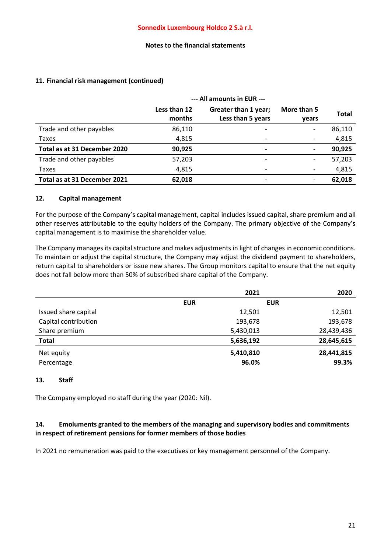#### --- All amounts in EUR --- Less than 12 months Greater than 1 year; Less than 5 years More than 5 years Total Trade and other payables 86,110 France 2008 10 and 56,110 Taxes 4,815 - 4,815 - 4,815 Total as at 31 December 2020 90,925 - - 90,925 Trade and other payables **57,203** - 57,203 - 57,203 - 57,203 Taxes 4,815 - 4,815 - 4,815 Total as at 31 December 2021 62,018 62,018 - 62,018

## 11. Financial risk management (continued)

#### 12. Capital management

For the purpose of the Company's capital management, capital includes issued capital, share premium and all other reserves attributable to the equity holders of the Company. The primary objective of the Company's capital management is to maximise the shareholder value.

The Company manages its capital structure and makes adjustments in light of changes in economic conditions. To maintain or adjust the capital structure, the Company may adjust the dividend payment to shareholders, return capital to shareholders or issue new shares. The Group monitors capital to ensure that the net equity does not fall below more than 50% of subscribed share capital of the Company.

|                      |            | 2021       | 2020       |
|----------------------|------------|------------|------------|
|                      | <b>EUR</b> | <b>EUR</b> |            |
| Issued share capital |            | 12,501     | 12,501     |
| Capital contribution |            | 193,678    | 193,678    |
| Share premium        |            | 5,430,013  | 28,439,436 |
| <b>Total</b>         |            | 5,636,192  | 28,645,615 |
| Net equity           |            | 5,410,810  | 28,441,815 |
| Percentage           |            | 96.0%      | 99.3%      |

### 13. Staff

The Company employed no staff during the year (2020: Nil).

### 14. Emoluments granted to the members of the managing and supervisory bodies and commitments in respect of retirement pensions for former members of those bodies

In 2021 no remuneration was paid to the executives or key management personnel of the Company.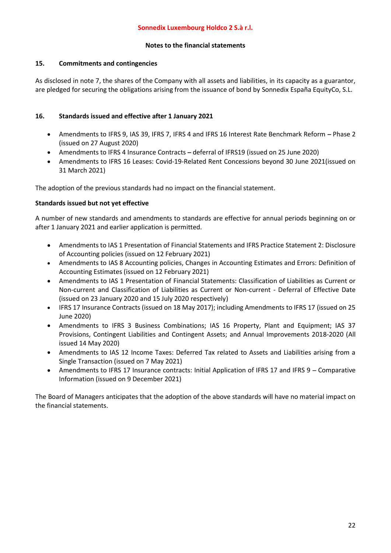### 15. Commitments and contingencies

As disclosed in note 7, the shares of the Company with all assets and liabilities, in its capacity as a guarantor, are pledged for securing the obligations arising from the issuance of bond by Sonnedix España EquityCo, S.L.

### 16. Standards issued and effective after 1 January 2021

- Amendments to IFRS 9, IAS 39, IFRS 7, IFRS 4 and IFRS 16 Interest Rate Benchmark Reform Phase 2 (issued on 27 August 2020)
- Amendments to IFRS 4 Insurance Contracts deferral of IFRS19 (issued on 25 June 2020)
- Amendments to IFRS 16 Leases: Covid-19-Related Rent Concessions beyond 30 June 2021(issued on 31 March 2021)

The adoption of the previous standards had no impact on the financial statement.

#### Standards issued but not yet effective

A number of new standards and amendments to standards are effective for annual periods beginning on or after 1 January 2021 and earlier application is permitted.

- Amendments to IAS 1 Presentation of Financial Statements and IFRS Practice Statement 2: Disclosure of Accounting policies (issued on 12 February 2021)
- Amendments to IAS 8 Accounting policies, Changes in Accounting Estimates and Errors: Definition of Accounting Estimates (issued on 12 February 2021)
- Amendments to IAS 1 Presentation of Financial Statements: Classification of Liabilities as Current or Non-current and Classification of Liabilities as Current or Non-current - Deferral of Effective Date (issued on 23 January 2020 and 15 July 2020 respectively)
- IFRS 17 Insurance Contracts (issued on 18 May 2017); including Amendments to IFRS 17 (issued on 25 June 2020)
- Amendments to IFRS 3 Business Combinations; IAS 16 Property, Plant and Equipment; IAS 37 Provisions, Contingent Liabilities and Contingent Assets; and Annual Improvements 2018-2020 (All issued 14 May 2020)
- Amendments to IAS 12 Income Taxes: Deferred Tax related to Assets and Liabilities arising from a Single Transaction (issued on 7 May 2021)
- Amendments to IFRS 17 Insurance contracts: Initial Application of IFRS 17 and IFRS 9 Comparative Information (issued on 9 December 2021)

The Board of Managers anticipates that the adoption of the above standards will have no material impact on the financial statements.